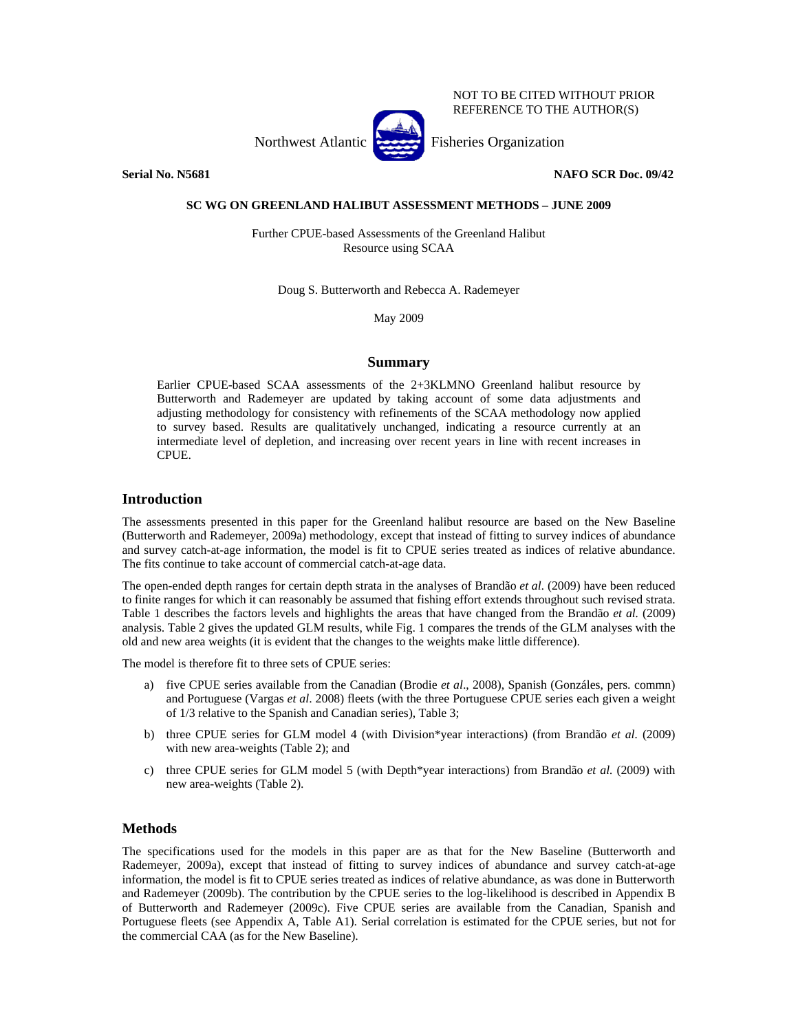

**Serial No. N5681** No. N5681 **NAFO SCR Doc. 09/42** 

#### **SC WG ON GREENLAND HALIBUT ASSESSMENT METHODS – JUNE 2009**

Further CPUE-based Assessments of the Greenland Halibut Resource using SCAA

Doug S. Butterworth and Rebecca A. Rademeyer

May 2009

# **Summary**

Earlier CPUE-based SCAA assessments of the 2+3KLMNO Greenland halibut resource by Butterworth and Rademeyer are updated by taking account of some data adjustments and adjusting methodology for consistency with refinements of the SCAA methodology now applied to survey based. Results are qualitatively unchanged, indicating a resource currently at an intermediate level of depletion, and increasing over recent years in line with recent increases in CPUE.

# **Introduction**

The assessments presented in this paper for the Greenland halibut resource are based on the New Baseline (Butterworth and Rademeyer, 2009a) methodology, except that instead of fitting to survey indices of abundance and survey catch-at-age information, the model is fit to CPUE series treated as indices of relative abundance. The fits continue to take account of commercial catch-at-age data.

The open-ended depth ranges for certain depth strata in the analyses of Brandão *et al.* (2009) have been reduced to finite ranges for which it can reasonably be assumed that fishing effort extends throughout such revised strata. Table 1 describes the factors levels and highlights the areas that have changed from the Brandão *et al.* (2009) analysis. Table 2 gives the updated GLM results, while Fig. 1 compares the trends of the GLM analyses with the old and new area weights (it is evident that the changes to the weights make little difference).

The model is therefore fit to three sets of CPUE series:

- a) five CPUE series available from the Canadian (Brodie *et al*., 2008), Spanish (Gonzáles, pers. commn) and Portuguese (Vargas *et al*. 2008) fleets (with the three Portuguese CPUE series each given a weight of 1/3 relative to the Spanish and Canadian series), Table 3;
- b) three CPUE series for GLM model 4 (with Division\*year interactions) (from Brandão *et al.* (2009) with new area-weights (Table 2); and
- c) three CPUE series for GLM model 5 (with Depth\*year interactions) from Brandão *et al.* (2009) with new area-weights (Table 2).

# **Methods**

The specifications used for the models in this paper are as that for the New Baseline (Butterworth and Rademeyer, 2009a), except that instead of fitting to survey indices of abundance and survey catch-at-age information, the model is fit to CPUE series treated as indices of relative abundance, as was done in Butterworth and Rademeyer (2009b). The contribution by the CPUE series to the log-likelihood is described in Appendix B of Butterworth and Rademeyer (2009c). Five CPUE series are available from the Canadian, Spanish and Portuguese fleets (see Appendix A, Table A1). Serial correlation is estimated for the CPUE series, but not for the commercial CAA (as for the New Baseline).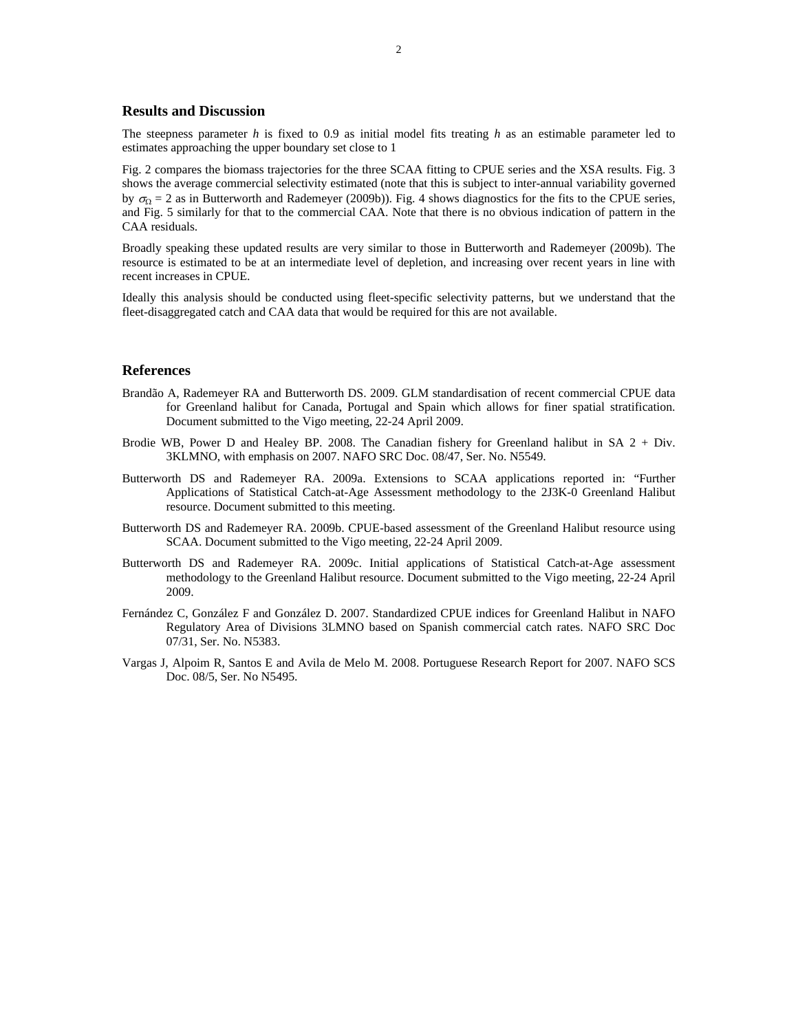#### **Results and Discussion**

The steepness parameter *h* is fixed to 0.9 as initial model fits treating *h* as an estimable parameter led to estimates approaching the upper boundary set close to 1

Fig. 2 compares the biomass trajectories for the three SCAA fitting to CPUE series and the XSA results. Fig. 3 shows the average commercial selectivity estimated (note that this is subject to inter-annual variability governed by  $\sigma_{\Omega} = 2$  as in Butterworth and Rademeyer (2009b)). Fig. 4 shows diagnostics for the fits to the CPUE series, and Fig. 5 similarly for that to the commercial CAA. Note that there is no obvious indication of pattern in the CAA residuals.

Broadly speaking these updated results are very similar to those in Butterworth and Rademeyer (2009b). The resource is estimated to be at an intermediate level of depletion, and increasing over recent years in line with recent increases in CPUE.

Ideally this analysis should be conducted using fleet-specific selectivity patterns, but we understand that the fleet-disaggregated catch and CAA data that would be required for this are not available.

#### **References**

- Brandão A, Rademeyer RA and Butterworth DS. 2009. GLM standardisation of recent commercial CPUE data for Greenland halibut for Canada, Portugal and Spain which allows for finer spatial stratification. Document submitted to the Vigo meeting, 22-24 April 2009.
- Brodie WB, Power D and Healey BP. 2008. The Canadian fishery for Greenland halibut in SA 2 + Div. 3KLMNO, with emphasis on 2007. NAFO SRC Doc. 08/47, Ser. No. N5549.
- Butterworth DS and Rademeyer RA. 2009a. Extensions to SCAA applications reported in: "Further Applications of Statistical Catch-at-Age Assessment methodology to the 2J3K-0 Greenland Halibut resource. Document submitted to this meeting.
- Butterworth DS and Rademeyer RA. 2009b. CPUE-based assessment of the Greenland Halibut resource using SCAA. Document submitted to the Vigo meeting, 22-24 April 2009.
- Butterworth DS and Rademeyer RA. 2009c. Initial applications of Statistical Catch-at-Age assessment methodology to the Greenland Halibut resource. Document submitted to the Vigo meeting, 22-24 April 2009.
- Fernández C, González F and González D. 2007. Standardized CPUE indices for Greenland Halibut in NAFO Regulatory Area of Divisions 3LMNO based on Spanish commercial catch rates. NAFO SRC Doc 07/31, Ser. No. N5383.
- Vargas J, Alpoim R, Santos E and Avila de Melo M. 2008. Portuguese Research Report for 2007. NAFO SCS Doc. 08/5, Ser. No N5495.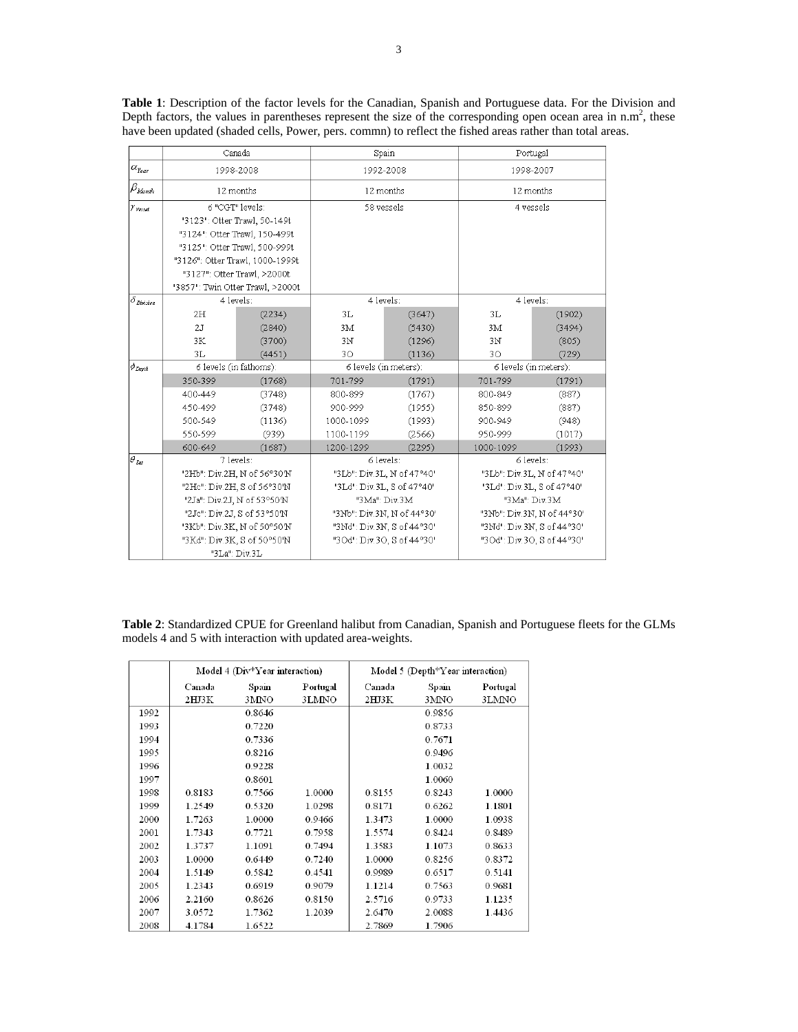|                                | Canada                                                                                                                                                           |                             |                            | Spain                      | Portugal                   |                            |  |
|--------------------------------|------------------------------------------------------------------------------------------------------------------------------------------------------------------|-----------------------------|----------------------------|----------------------------|----------------------------|----------------------------|--|
| $\alpha_{\rm{near}}$           | 1998-2008                                                                                                                                                        |                             | 1992-2008                  |                            | 1998-2007                  |                            |  |
| $\beta_{\text{Month}}$         | 12 months                                                                                                                                                        |                             |                            | 12 months                  |                            | 12 months                  |  |
| $\mathcal V_{\mathit{Vessel}}$ | 6 "CGT" levels:                                                                                                                                                  |                             | 58 vessels                 |                            | 4 vessels                  |                            |  |
|                                | "3123": Otter Trawl, 50-149t<br>"3124": Otter Trawl, 150-499t<br>"3125": Otter Trawl, 500-999t<br>"3126": Otter Trawl, 1000-1999t<br>"3127": Otter Trawl, >2000t |                             |                            |                            |                            |                            |  |
|                                |                                                                                                                                                                  |                             |                            |                            |                            |                            |  |
|                                |                                                                                                                                                                  |                             |                            |                            |                            |                            |  |
|                                |                                                                                                                                                                  |                             |                            |                            |                            |                            |  |
|                                |                                                                                                                                                                  |                             |                            |                            |                            |                            |  |
|                                | "3857": Twin Otter Trawl, >2000t                                                                                                                                 |                             |                            |                            |                            |                            |  |
| i 8 <sub>Division</sub>        | 4 levels:                                                                                                                                                        |                             | 4 levels:                  |                            | 4 levels:                  |                            |  |
|                                | 2H                                                                                                                                                               | (2234)                      | 3L                         | (3647)                     | 3L                         | (1902)                     |  |
|                                | 2.1                                                                                                                                                              | (2840)                      | 3M                         | (5430)                     | 3M                         | (3494)                     |  |
|                                | 3K                                                                                                                                                               | (3700)                      | 3N                         | (1296)                     | 3N                         | (805)                      |  |
|                                | 3L                                                                                                                                                               | (4451)                      | 30                         | (1136)                     | 30                         | (729)                      |  |
| $\phi_{Denth}$                 | 6 levels (in fathoms):                                                                                                                                           |                             |                            | 6 levels (in meters):      | 6 levels (in meters):      |                            |  |
|                                | 350-399                                                                                                                                                          | (1768)                      | 701-799                    | (1791)                     | 701-799                    | (1791)                     |  |
|                                | 400-449                                                                                                                                                          | (3748)                      | 800-899                    | (1767)                     | 800-849                    | (887)                      |  |
|                                | 450-499                                                                                                                                                          | (3748)                      | 900-999                    | (1955)                     | 850-899                    | (887)                      |  |
|                                | 500-549                                                                                                                                                          | (1136)                      | 1000-1099                  | (1993)                     | 900-949                    | (948)                      |  |
|                                | 550-599                                                                                                                                                          | (939)                       | 1100-1199                  | (2566)                     | 950-999                    | (1017)                     |  |
|                                | 600-649                                                                                                                                                          | (1687)                      | 1200-1299                  | (2295)                     | 1000-1099                  | (1993)                     |  |
| $\bar{\theta}_{lat}$           | 7 levels:                                                                                                                                                        |                             |                            | 6 levels:                  |                            | 6 levels:                  |  |
|                                | "2Hb": Div.2H, N of 56°30'N                                                                                                                                      |                             | "3Lb": Div.3L, N of 47°40' |                            | "3Lb": Div.3L, N of 47°40' |                            |  |
|                                | "2He": Div.2H, S of 56°30'N                                                                                                                                      |                             | "3Ld": Div.3L, S of 47°40' |                            | "3Ld": Div.3L, S of 47°40' |                            |  |
|                                | "2Ja": Div.2J, N of 53°50'N                                                                                                                                      |                             | "3Ma": Div 3M              |                            | "3Ma": Div 3M              |                            |  |
|                                | "2Je": Div.2J, S of 53°50'N                                                                                                                                      |                             | "3Nb": Div.3N, N of 44°30' |                            | "3Nb": Div.3N, N of 44°30' |                            |  |
|                                |                                                                                                                                                                  | "3Kb": Div.3K, N of 50°50'N |                            | "3Nd": Div.3N, S of 44°30' |                            | "3Nd": Div.3N, S of 44°30' |  |
|                                | "3Kd": Div.3K, S of 50°50'N                                                                                                                                      |                             | "3Od": Div.3O, S of 44°30' |                            |                            | "3Od": Div.3O, S of 44°30' |  |
|                                | "3La": Div.3L                                                                                                                                                    |                             |                            |                            |                            |                            |  |

**Table 1**: Description of the factor levels for the Canadian, Spanish and Portuguese data. For the Division and Depth factors, the values in parentheses represent the size of the corresponding open ocean area in  $n.m^2$ , these have been updated (shaded cells, Power, pers. commn) to reflect the fished areas rather than total areas.

**Table 2**: Standardized CPUE for Greenland halibut from Canadian, Spanish and Portuguese fleets for the GLMs models 4 and 5 with interaction with updated area-weights.

|      | Model 4 (Div*Year interaction) |        |          | Model 5 (Depth $*Y$ ear interaction) |        |          |  |
|------|--------------------------------|--------|----------|--------------------------------------|--------|----------|--|
|      | Canada                         | Spain  | Portugal | Canada                               | Spain  | Portugal |  |
|      | 2HJ3K                          | 3MNO   | 3LMNO    | 2HJ3K                                | 3MNO   | 3LMNO    |  |
| 1992 |                                | 0.8646 |          |                                      | 0.9856 |          |  |
| 1993 |                                | 0.7220 |          |                                      | 0.8733 |          |  |
| 1994 |                                | 0.7336 |          |                                      | 0.7671 |          |  |
| 1995 |                                | 0.8216 |          |                                      | 0.9496 |          |  |
| 1996 |                                | 0.9228 |          |                                      | 1.0032 |          |  |
| 1997 |                                | 0.8601 |          |                                      | 1.0060 |          |  |
| 1998 | 0.8183                         | 0.7566 | 1.0000   | 0.8155                               | 0.8243 | 1.0000   |  |
| 1999 | 1.2549                         | 0.5320 | 1.0298   | 0.8171                               | 0.6262 | 1.1801   |  |
| 2000 | 1.7263                         | 1.0000 | 0.9466   | 1.3473                               | 1.0000 | 1.0938   |  |
| 2001 | 1.7343                         | 0.7721 | 0.7958   | 1.5574                               | 0.8424 | 0.8489   |  |
| 2002 | 1.3737                         | 1.1091 | 0.7494   | 1.3583                               | 1.1073 | 0.8633   |  |
| 2003 | 1.0000                         | 0.6449 | 0.7240   | 1.0000                               | 0.8256 | 0.8372   |  |
| 2004 | 1.5149                         | 0.5842 | 0.4541   | 0.9989                               | 0.6517 | 0.5141   |  |
| 2005 | 1.2343                         | 0.6919 | 0.9079   | 1.1214                               | 0.7563 | 0.9681   |  |
| 2006 | 2.2160                         | 0.8626 | 0.8150   | 2.5716                               | 0.9733 | 1.1235   |  |
| 2007 | 3.0572                         | 1.7362 | 1.2039   | 2.6470                               | 2.0088 | 1.4436   |  |
| 2008 | 4.1784                         | 1.6522 |          | 2.7869                               | 1.7906 |          |  |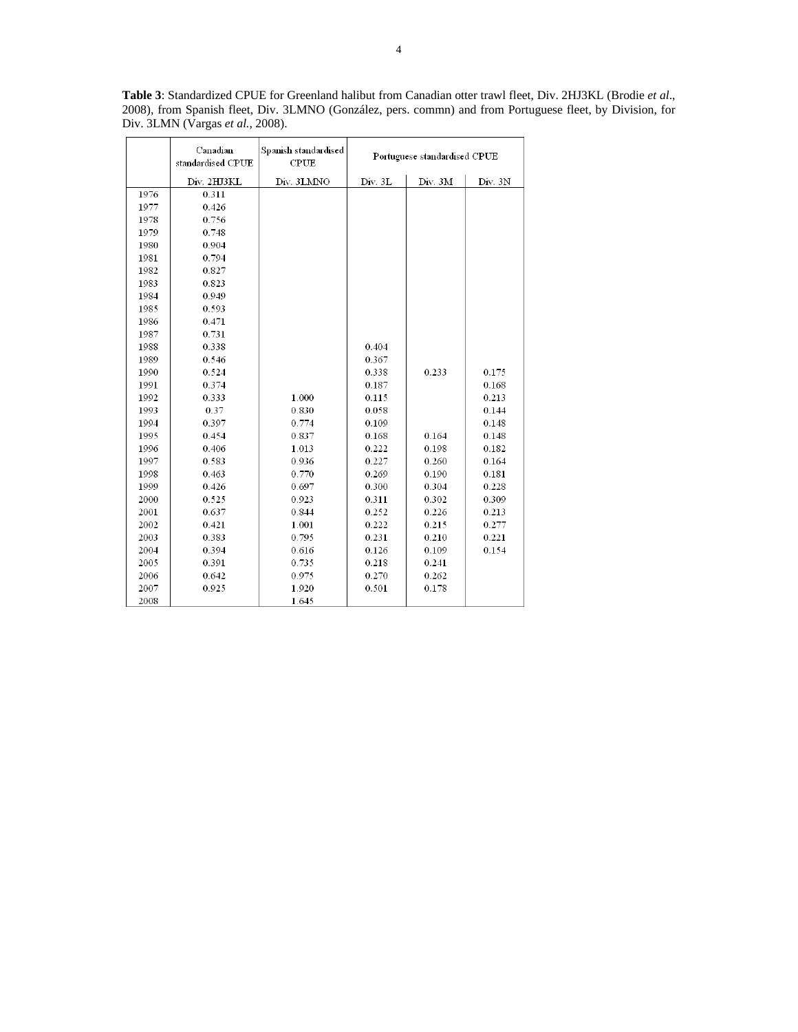**Table 3**: Standardized CPUE for Greenland halibut from Canadian otter trawl fleet, Div. 2HJ3KL (Brodie *et al*., 2008), from Spanish fleet, Div. 3LMNO (González, pers. commn) and from Portuguese fleet, by Division, for Div. 3LMN (Vargas *et al.*, 2008).

|      | Canadian<br>standardised CPUE | Spanish standardised<br>${\rm CPU}$ | Portuguese standardised CPUE |         |         |
|------|-------------------------------|-------------------------------------|------------------------------|---------|---------|
|      | Div. 2HJ3KL                   | Div. 3LMNO                          | Div. 3L                      | Div. 3M | Div. 3N |
| 1976 | 0.311                         |                                     |                              |         |         |
| 1977 | 0.426                         |                                     |                              |         |         |
| 1978 | 0.756                         |                                     |                              |         |         |
| 1979 | 0.748                         |                                     |                              |         |         |
| 1980 | 0.904                         |                                     |                              |         |         |
| 1981 | 0.794                         |                                     |                              |         |         |
| 1982 | 0.827                         |                                     |                              |         |         |
| 1983 | 0.823                         |                                     |                              |         |         |
| 1984 | 0.949                         |                                     |                              |         |         |
| 1985 | 0.593                         |                                     |                              |         |         |
| 1986 | 0.471                         |                                     |                              |         |         |
| 1987 | 0.731                         |                                     |                              |         |         |
| 1988 | 0.338                         |                                     | 0.404                        |         |         |
| 1989 | 0.546                         |                                     | 0.367                        |         |         |
| 1990 | 0.524                         |                                     | 0.338                        | 0.233   | 0.175   |
| 1991 | 0.374                         |                                     | 0.187                        |         | 0.168   |
| 1992 | 0.333                         | 1.000                               | 0.115                        |         | 0.213   |
| 1993 | 0.37                          | 0.830                               | 0.058                        |         | 0.144   |
| 1994 | 0.397                         | 0.774                               | 0.109                        |         | 0.148   |
| 1995 | 0.454                         | 0.837                               | 0.168                        | 0.164   | 0.148   |
| 1996 | 0.406                         | 1.013                               | 0.222                        | 0.198   | 0.182   |
| 1997 | 0.583                         | 0.936                               | 0.227                        | 0.260   | 0.164   |
| 1998 | 0.463                         | 0.770                               | 0.269                        | 0.190   | 0.181   |
| 1999 | 0.426                         | 0.697                               | 0.300                        | 0.304   | 0.228   |
| 2000 | 0.525                         | 0.923                               | 0.311                        | 0.302   | 0.309   |
| 2001 | 0.637                         | 0.844                               | 0.252                        | 0.226   | 0.213   |
| 2002 | 0.421                         | 1.001                               | 0.222                        | 0.215   | 0.277   |
| 2003 | 0.383                         | 0.795                               | 0.231                        | 0.210   | 0.221   |
| 2004 | 0.394                         | 0.616                               | 0.126                        | 0.109   | 0.154   |
| 2005 | 0.391                         | 0.735                               | 0.218                        | 0.241   |         |
| 2006 | 0.642                         | 0.975                               | 0.270                        | 0.262   |         |
| 2007 | 0.925                         | 1.920                               | 0.501                        | 0.178   |         |
| 2008 |                               | 1.645                               |                              |         |         |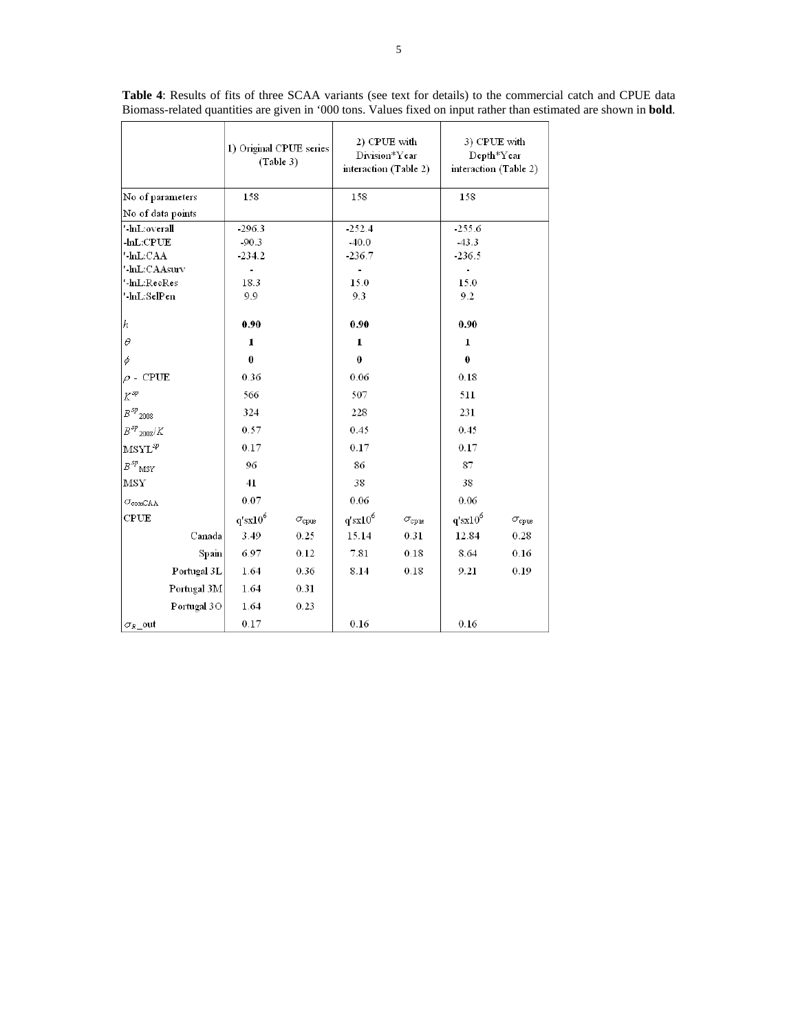| 1) Original CPUE series<br>(Table 3)      |                | 2) CPUE with<br>Division*Year<br>interaction (Table 2) |                              | 3) CPUE with<br>Depth*Year<br>interaction (Table 2) |                              |                    |
|-------------------------------------------|----------------|--------------------------------------------------------|------------------------------|-----------------------------------------------------|------------------------------|--------------------|
| No of parameters                          | 158            |                                                        | 158                          |                                                     | 158                          |                    |
| No of data points                         |                |                                                        |                              |                                                     |                              |                    |
| '-hiL:overall                             | -296.3         |                                                        | -252.4                       |                                                     | 255.6                        |                    |
| $-hL$ : $CPUE$                            | $-90.3$        |                                                        | $-40.0$                      |                                                     | $-43.3$                      |                    |
| '-lnL:CAA                                 | $-234.2$       |                                                        | -236.7                       |                                                     | -236.5                       |                    |
| '-lnL:CAAsurv                             | $\blacksquare$ |                                                        | $\qquad \qquad \blacksquare$ |                                                     | $\qquad \qquad \blacksquare$ |                    |
| '-lnL:RecRes<br>'-lnL:SelPen              | 18.3           |                                                        | 15.0                         |                                                     | 15.0                         |                    |
|                                           | 9.9            |                                                        | 9.3                          |                                                     | 9.2                          |                    |
| h                                         | 0.90           |                                                        | 0.90                         |                                                     | 0.90                         |                    |
| $\theta$                                  | 1              |                                                        | 1                            |                                                     | 1                            |                    |
| $\phi$                                    | $\bf{0}$       |                                                        | $\bf{0}$                     |                                                     | 0                            |                    |
| $\rho$ - CPUE                             | 0.36           |                                                        | 0.06                         |                                                     | 0.18                         |                    |
| $K^{\mathit{sp}}$                         | 566            |                                                        | 507                          |                                                     | 511                          |                    |
| $B\,sp_{2008}$                            | 324            |                                                        | 228                          |                                                     | 231                          |                    |
| $B^{sp}$ <sub>2008</sub> /K               | 0.57           |                                                        | 0.45                         |                                                     | 0.45                         |                    |
| $\mathrm{MSYL}^{sp}$                      | 0.17           |                                                        | 0.17                         |                                                     | 0.17                         |                    |
| $B^{sp}{}_{\rm MSY}$                      | 96             |                                                        | 86                           |                                                     | 87                           |                    |
| MSY                                       | 41             |                                                        | 38                           |                                                     | 38                           |                    |
| $\sigma$ <sub>com</sub> $_{\texttt{CAR}}$ | 0.07           |                                                        | 0.06                         |                                                     | 0.06                         |                    |
| CPUE                                      | $q'sx10^6$     | $\sigma_{\rm cque}$                                    | $q' s x 10^6$                | $\sigma_{\rm cque}$                                 | $q' s x 10^6$                | $\sigma_{\rm cpu}$ |
| Canada                                    | 3.49           | 0.25                                                   | 15.14                        | 0.31                                                | 12.84                        | 0.28               |
| Spain                                     | 6.97           | 0.12                                                   | 7.81                         | 0.18                                                | 8.64                         | 0.16               |
| Portugal 3L                               | 1.64           | 0.36                                                   | 8.14                         | 0.18                                                | 9.21                         | 0.19               |
| Portugal 3M                               | 1.64           | 0.31                                                   |                              |                                                     |                              |                    |
| Portugal 3O                               | 1.64           | 0.23                                                   |                              |                                                     |                              |                    |
| $\sigma_R$ out                            | 0.17           |                                                        | 0.16                         |                                                     | 0.16                         |                    |

**Table 4**: Results of fits of three SCAA variants (see text for details) to the commercial catch and CPUE data Biomass-related quantities are given in '000 tons. Values fixed on input rather than estimated are shown in **bold**.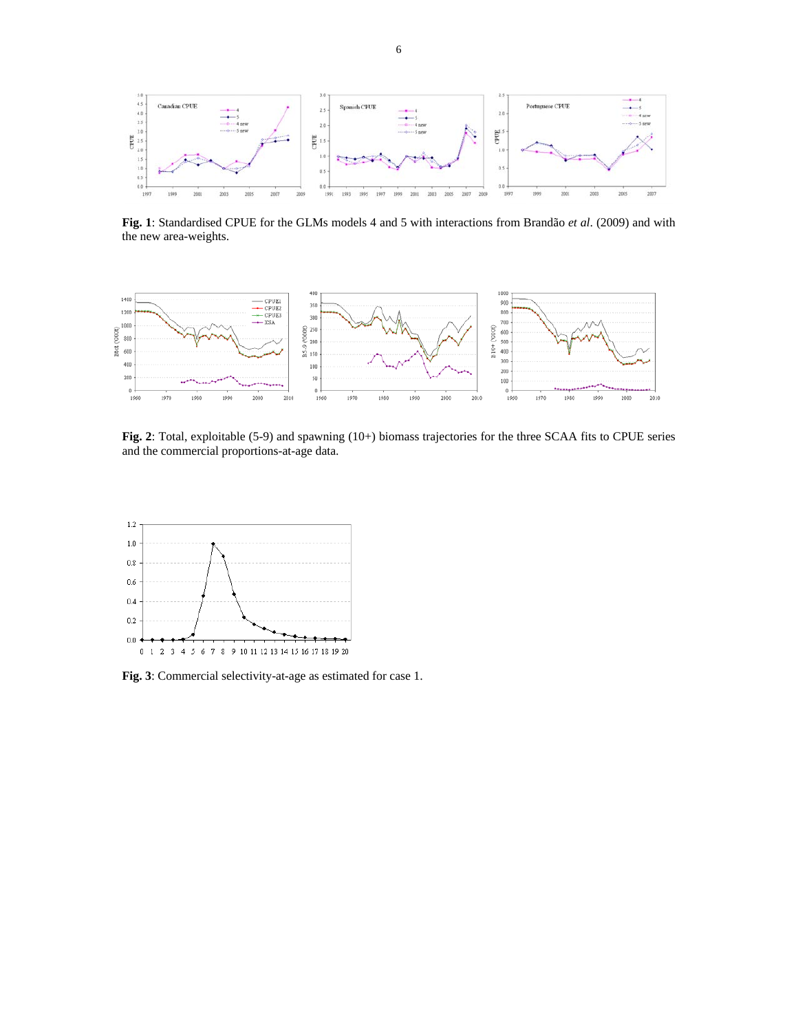

**Fig. 1**: Standardised CPUE for the GLMs models 4 and 5 with interactions from Brandão *et al*. (2009) and with the new area-weights.



**Fig. 2**: Total, exploitable (5-9) and spawning (10+) biomass trajectories for the three SCAA fits to CPUE series and the commercial proportions-at-age data.



**Fig. 3**: Commercial selectivity-at-age as estimated for case 1.